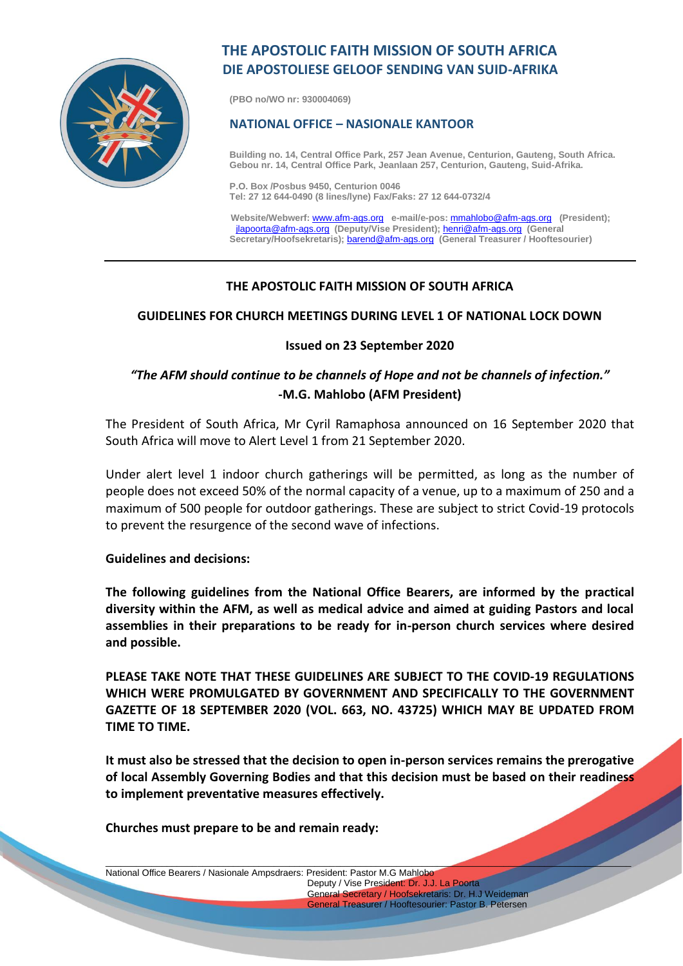

# **THE APOSTOLIC FAITH MISSION OF SOUTH AFRICA DIE APOSTOLIESE GELOOF SENDING VAN SUID-AFRIKA**

**(PBO no/WO nr: 930004069)**

#### **NATIONAL OFFICE – NASIONALE KANTOOR**

**Building no. 14, Central Office Park, 257 Jean Avenue, Centurion, Gauteng, South Africa. Gebou nr. 14, Central Office Park, Jeanlaan 257, Centurion, Gauteng, Suid-Afrika.**

**P.O. Box /Posbus 9450, Centurion 0046 Tel: 27 12 644-0490 (8 lines/lyne) Fax/Faks: 27 12 644-0732/4**

 **Website/Webwerf:** [www.afm-ags.org](http://www.afm-ags.org/) **e-mail/e-pos:** [mmahlobo@afm-ags.org](mailto:mmahlobo@afm-ags.org) **(President);** [jlapoorta@afm-ags.org](mailto:jlapoorta@afm-ags.org) **(Deputy/Vise President);** [henri@afm-ags.org](mailto:henri@afm-ags.org) **(General Secretary/Hoofsekretaris);** [barend@afm-ags.org](mailto:barend@afm-ags.org) **(General Treasurer / Hooftesourier)**

### **THE APOSTOLIC FAITH MISSION OF SOUTH AFRICA**

### **GUIDELINES FOR CHURCH MEETINGS DURING LEVEL 1 OF NATIONAL LOCK DOWN**

#### **Issued on 23 September 2020**

## *"The AFM should continue to be channels of Hope and not be channels of infection."* **-M.G. Mahlobo (AFM President)**

The President of South Africa, Mr Cyril Ramaphosa announced on 16 September 2020 that South Africa will move to Alert Level 1 from 21 September 2020.

Under alert level 1 indoor church gatherings will be permitted, as long as the number of people does not exceed 50% of the normal capacity of a venue, up to a maximum of 250 and a maximum of 500 people for outdoor gatherings. These are subject to strict Covid-19 protocols to prevent the resurgence of the second wave of infections.

#### **Guidelines and decisions:**

**The following guidelines from the National Office Bearers, are informed by the practical diversity within the AFM, as well as medical advice and aimed at guiding Pastors and local assemblies in their preparations to be ready for in-person church services where desired and possible.**

**PLEASE TAKE NOTE THAT THESE GUIDELINES ARE SUBJECT TO THE COVID-19 REGULATIONS WHICH WERE PROMULGATED BY GOVERNMENT AND SPECIFICALLY TO THE GOVERNMENT GAZETTE OF 18 SEPTEMBER 2020 (VOL. 663, NO. 43725) WHICH MAY BE UPDATED FROM TIME TO TIME.**

**It must also be stressed that the decision to open in-person services remains the prerogative of local Assembly Governing Bodies and that this decision must be based on their readiness to implement preventative measures effectively.** 

\_\_\_\_\_\_\_\_\_\_\_\_\_\_\_\_\_\_\_\_\_\_\_\_\_\_\_\_\_\_\_\_\_\_\_\_\_\_\_\_\_\_\_\_\_\_\_\_\_\_\_\_\_\_\_\_\_\_\_\_\_\_\_\_\_\_\_\_\_\_\_\_\_\_\_\_\_\_\_\_\_\_\_\_\_\_\_\_\_\_\_\_\_\_\_\_\_\_\_\_\_\_\_

**Churches must prepare to be and remain ready:**

National Office Bearers / Nasionale Ampsdraers: President: Pastor M.G Mahlobo Deputy / Vise President: Dr. J.J. La Poorta General Secretary / Hoofsekretaris: Dr. H.J Weideman General Treasurer / Hooftesourier: Pastor B. Petersen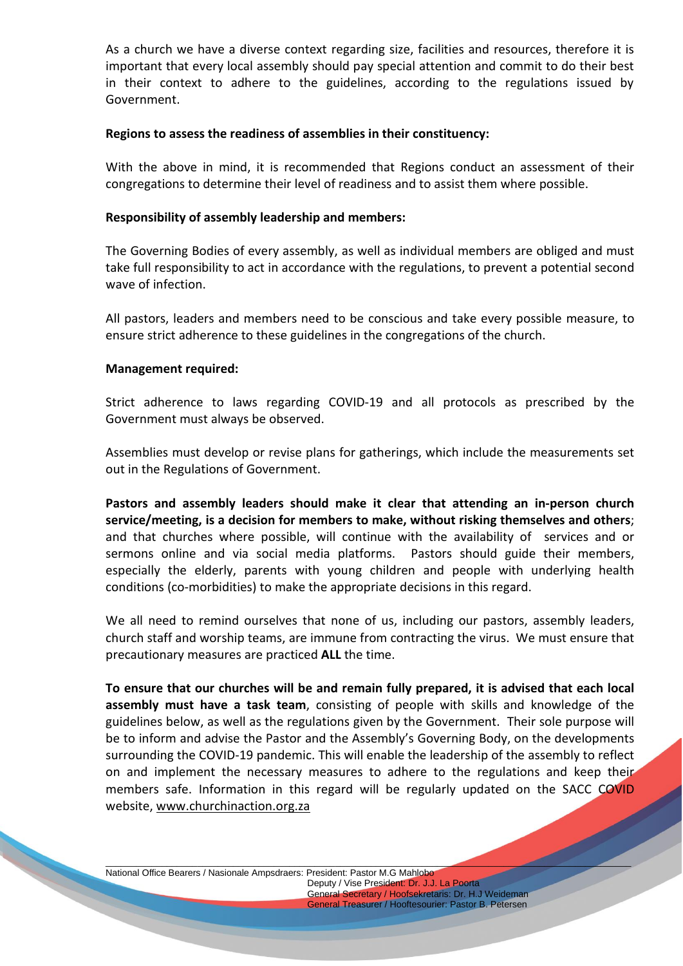As a church we have a diverse context regarding size, facilities and resources, therefore it is important that every local assembly should pay special attention and commit to do their best in their context to adhere to the guidelines, according to the regulations issued by Government.

#### **Regions to assess the readiness of assemblies in their constituency:**

With the above in mind, it is recommended that Regions conduct an assessment of their congregations to determine their level of readiness and to assist them where possible.

#### **Responsibility of assembly leadership and members:**

The Governing Bodies of every assembly, as well as individual members are obliged and must take full responsibility to act in accordance with the regulations, to prevent a potential second wave of infection.

All pastors, leaders and members need to be conscious and take every possible measure, to ensure strict adherence to these guidelines in the congregations of the church.

#### **Management required:**

Strict adherence to laws regarding COVID-19 and all protocols as prescribed by the Government must always be observed.

Assemblies must develop or revise plans for gatherings, which include the measurements set out in the Regulations of Government.

**Pastors and assembly leaders should make it clear that attending an in-person church service/meeting, is a decision for members to make, without risking themselves and others**; and that churches where possible, will continue with the availability of services and or sermons online and via social media platforms. Pastors should guide their members, especially the elderly, parents with young children and people with underlying health conditions (co-morbidities) to make the appropriate decisions in this regard.

We all need to remind ourselves that none of us, including our pastors, assembly leaders, church staff and worship teams, are immune from contracting the virus. We must ensure that precautionary measures are practiced **ALL** the time.

**To ensure that our churches will be and remain fully prepared, it is advised that each local assembly must have a task team**, consisting of people with skills and knowledge of the guidelines below, as well as the regulations given by the Government. Their sole purpose will be to inform and advise the Pastor and the Assembly's Governing Body, on the developments surrounding the COVID-19 pandemic. This will enable the leadership of the assembly to reflect on and implement the necessary measures to adhere to the regulations and keep their members safe. Information in this regard will be regularly updated on the SACC COVID website, [www.churchinaction.org.za](http://www.churchinaction.org.za/)

\_\_\_\_\_\_\_\_\_\_\_\_\_\_\_\_\_\_\_\_\_\_\_\_\_\_\_\_\_\_\_\_\_\_\_\_\_\_\_\_\_\_\_\_\_\_\_\_\_\_\_\_\_\_\_\_\_\_\_\_\_\_\_\_\_\_\_\_\_\_\_\_\_\_\_\_\_\_\_\_\_\_\_\_\_\_\_\_\_\_\_\_\_\_\_\_\_\_\_\_\_\_\_

National Office Bearers / Nasionale Ampsdraers: President: Pastor M.G Mahlobo Deputy / Vise President: Dr. J.J. La Poorta General Secretary / Hoofsekretaris: Dr. H.J Weideman General Treasurer / Hooftesourier: Pastor B. Petersen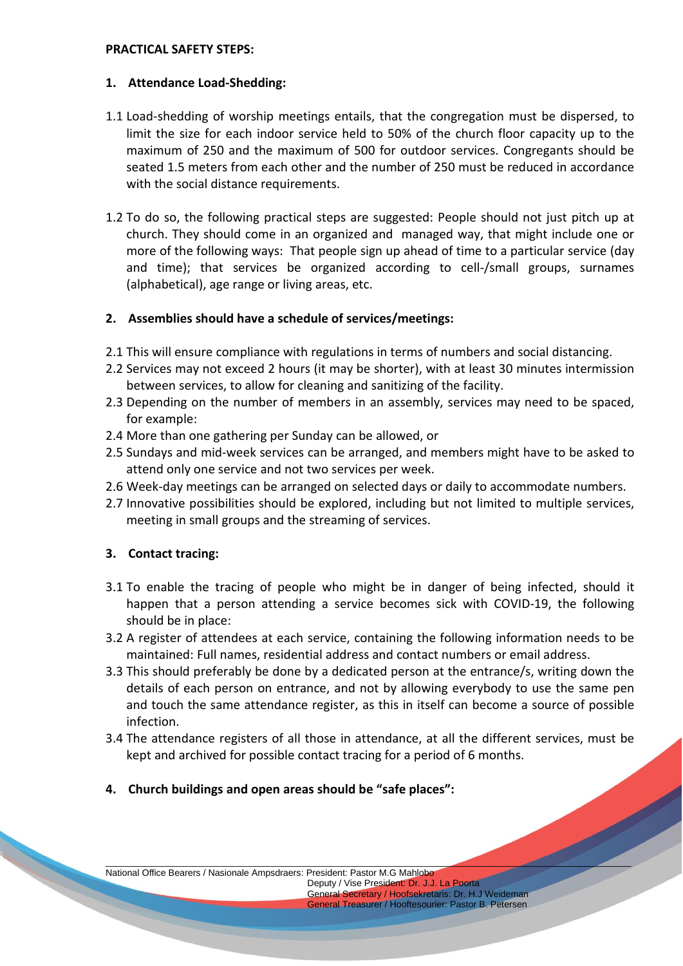#### **PRACTICAL SAFETY STEPS:**

### **1. Attendance Load-Shedding:**

- 1.1 Load-shedding of worship meetings entails, that the congregation must be dispersed, to limit the size for each indoor service held to 50% of the church floor capacity up to the maximum of 250 and the maximum of 500 for outdoor services. Congregants should be seated 1.5 meters from each other and the number of 250 must be reduced in accordance with the social distance requirements.
- 1.2 To do so, the following practical steps are suggested: People should not just pitch up at church. They should come in an organized and managed way, that might include one or more of the following ways: That people sign up ahead of time to a particular service (day and time); that services be organized according to cell-/small groups, surnames (alphabetical), age range or living areas, etc.

### **2. Assemblies should have a schedule of services/meetings:**

- 2.1 This will ensure compliance with regulations in terms of numbers and social distancing.
- 2.2 Services may not exceed 2 hours (it may be shorter), with at least 30 minutes intermission between services, to allow for cleaning and sanitizing of the facility.
- 2.3 Depending on the number of members in an assembly, services may need to be spaced, for example:
- 2.4 More than one gathering per Sunday can be allowed, or
- 2.5 Sundays and mid-week services can be arranged, and members might have to be asked to attend only one service and not two services per week.
- 2.6 Week-day meetings can be arranged on selected days or daily to accommodate numbers.
- 2.7 Innovative possibilities should be explored, including but not limited to multiple services, meeting in small groups and the streaming of services.

### **3. Contact tracing:**

- 3.1 To enable the tracing of people who might be in danger of being infected, should it happen that a person attending a service becomes sick with COVID-19, the following should be in place:
- 3.2 A register of attendees at each service, containing the following information needs to be maintained: Full names, residential address and contact numbers or email address.
- 3.3 This should preferably be done by a dedicated person at the entrance/s, writing down the details of each person on entrance, and not by allowing everybody to use the same pen and touch the same attendance register, as this in itself can become a source of possible infection.
- 3.4 The attendance registers of all those in attendance, at all the different services, must be kept and archived for possible contact tracing for a period of 6 months.

\_\_\_\_\_\_\_\_\_\_\_\_\_\_\_\_\_\_\_\_\_\_\_\_\_\_\_\_\_\_\_\_\_\_\_\_\_\_\_\_\_\_\_\_\_\_\_\_\_\_\_\_\_\_\_\_\_\_\_\_\_\_\_\_\_\_\_\_\_\_\_\_\_\_\_\_\_\_\_\_\_\_\_\_\_\_\_\_\_\_\_\_\_\_\_\_\_\_\_\_\_\_\_

**4. Church buildings and open areas should be "safe places":**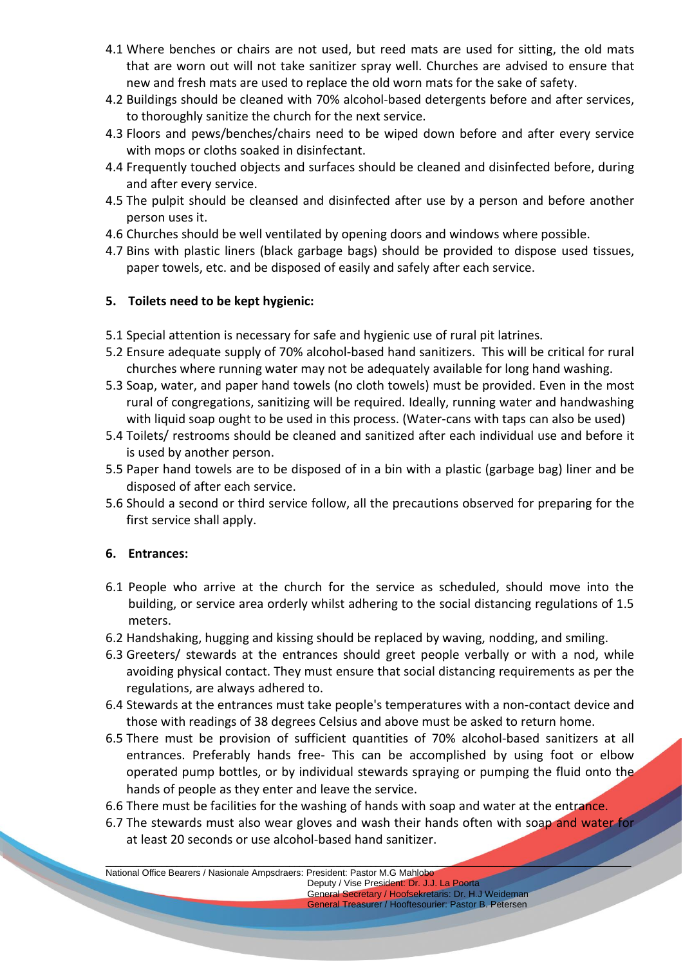- 4.1 Where benches or chairs are not used, but reed mats are used for sitting, the old mats that are worn out will not take sanitizer spray well. Churches are advised to ensure that new and fresh mats are used to replace the old worn mats for the sake of safety.
- 4.2 Buildings should be cleaned with 70% alcohol-based detergents before and after services, to thoroughly sanitize the church for the next service.
- 4.3 Floors and pews/benches/chairs need to be wiped down before and after every service with mops or cloths soaked in disinfectant.
- 4.4 Frequently touched objects and surfaces should be cleaned and disinfected before, during and after every service.
- 4.5 The pulpit should be cleansed and disinfected after use by a person and before another person uses it.
- 4.6 Churches should be well ventilated by opening doors and windows where possible.
- 4.7 Bins with plastic liners (black garbage bags) should be provided to dispose used tissues, paper towels, etc. and be disposed of easily and safely after each service.

### **5. Toilets need to be kept hygienic:**

- 5.1 Special attention is necessary for safe and hygienic use of rural pit latrines.
- 5.2 Ensure adequate supply of 70% alcohol-based hand sanitizers. This will be critical for rural churches where running water may not be adequately available for long hand washing.
- 5.3 Soap, water, and paper hand towels (no cloth towels) must be provided. Even in the most rural of congregations, sanitizing will be required. Ideally, running water and handwashing with liquid soap ought to be used in this process. (Water-cans with taps can also be used)
- 5.4 Toilets/ restrooms should be cleaned and sanitized after each individual use and before it is used by another person.
- 5.5 Paper hand towels are to be disposed of in a bin with a plastic (garbage bag) liner and be disposed of after each service.
- 5.6 Should a second or third service follow, all the precautions observed for preparing for the first service shall apply.

### **6. Entrances:**

- 6.1 People who arrive at the church for the service as scheduled, should move into the building, or service area orderly whilst adhering to the social distancing regulations of 1.5 meters.
- 6.2 Handshaking, hugging and kissing should be replaced by waving, nodding, and smiling.
- 6.3 Greeters/ stewards at the entrances should greet people verbally or with a nod, while avoiding physical contact. They must ensure that social distancing requirements as per the regulations, are always adhered to.
- 6.4 Stewards at the entrances must take people's temperatures with a non-contact device and those with readings of 38 degrees Celsius and above must be asked to return home.
- 6.5 There must be provision of sufficient quantities of 70% alcohol-based sanitizers at all entrances. Preferably hands free- This can be accomplished by using foot or elbow operated pump bottles, or by individual stewards spraying or pumping the fluid onto the hands of people as they enter and leave the service.
- 6.6 There must be facilities for the washing of hands with soap and water at the entrance.
- 6.7 The stewards must also wear gloves and wash their hands often with soap and water for at least 20 seconds or use alcohol-based hand sanitizer.

\_\_\_\_\_\_\_\_\_\_\_\_\_\_\_\_\_\_\_\_\_\_\_\_\_\_\_\_\_\_\_\_\_\_\_\_\_\_\_\_\_\_\_\_\_\_\_\_\_\_\_\_\_\_\_\_\_\_\_\_\_\_\_\_\_\_\_\_\_\_\_\_\_\_\_\_\_\_\_\_\_\_\_\_\_\_\_\_\_\_\_\_\_\_\_\_\_\_\_\_\_\_\_ National Office Bearers / Nasionale Ampsdraers: President: Pastor M.G Mahlobo

 Deputy / Vise President: Dr. J.J. La Poorta General Secretary / Hoofsekretaris: Dr. H.J Weideman General Treasurer / Hooftesourier: Pastor B. Petersen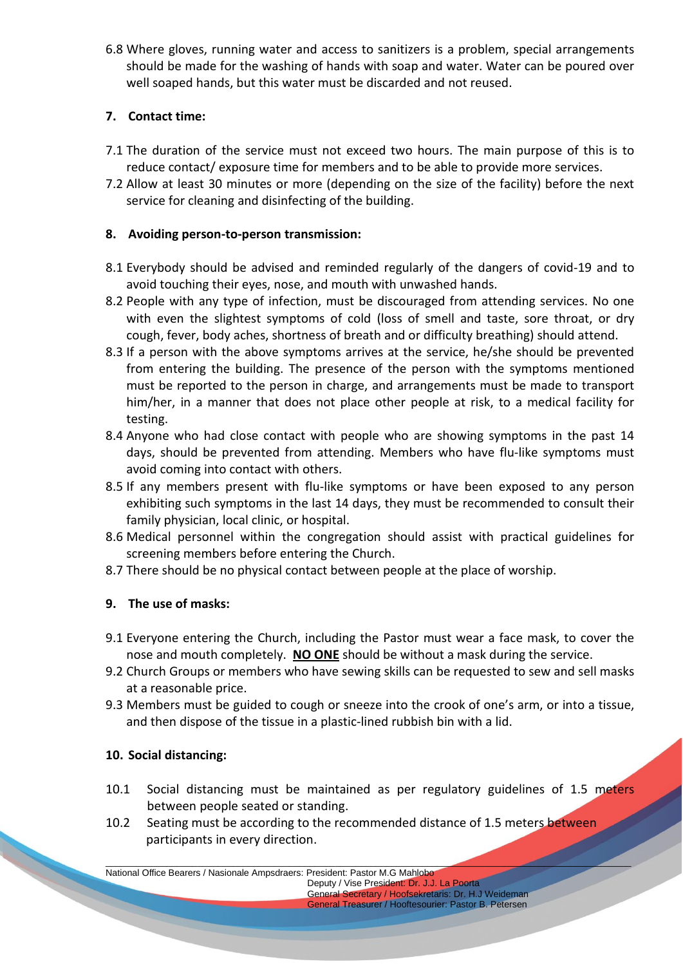6.8 Where gloves, running water and access to sanitizers is a problem, special arrangements should be made for the washing of hands with soap and water. Water can be poured over well soaped hands, but this water must be discarded and not reused.

### **7. Contact time:**

- 7.1 The duration of the service must not exceed two hours. The main purpose of this is to reduce contact/ exposure time for members and to be able to provide more services.
- 7.2 Allow at least 30 minutes or more (depending on the size of the facility) before the next service for cleaning and disinfecting of the building.

### **8. Avoiding person-to-person transmission:**

- 8.1 Everybody should be advised and reminded regularly of the dangers of covid-19 and to avoid touching their eyes, nose, and mouth with unwashed hands.
- 8.2 People with any type of infection, must be discouraged from attending services. No one with even the slightest symptoms of cold (loss of smell and taste, sore throat, or dry cough, fever, body aches, shortness of breath and or difficulty breathing) should attend.
- 8.3 If a person with the above symptoms arrives at the service, he/she should be prevented from entering the building. The presence of the person with the symptoms mentioned must be reported to the person in charge, and arrangements must be made to transport him/her, in a manner that does not place other people at risk, to a medical facility for testing.
- 8.4 Anyone who had close contact with people who are showing symptoms in the past 14 days, should be prevented from attending. Members who have flu-like symptoms must avoid coming into contact with others.
- 8.5 If any members present with flu-like symptoms or have been exposed to any person exhibiting such symptoms in the last 14 days, they must be recommended to consult their family physician, local clinic, or hospital.
- 8.6 Medical personnel within the congregation should assist with practical guidelines for screening members before entering the Church.
- 8.7 There should be no physical contact between people at the place of worship.

### **9. The use of masks:**

- 9.1 Everyone entering the Church, including the Pastor must wear a face mask, to cover the nose and mouth completely. **NO ONE** should be without a mask during the service.
- 9.2 Church Groups or members who have sewing skills can be requested to sew and sell masks at a reasonable price.
- 9.3 Members must be guided to cough or sneeze into the crook of one's arm, or into a tissue, and then dispose of the tissue in a plastic-lined rubbish bin with a lid.

### **10. Social distancing:**

- 10.1 Social distancing must be maintained as per regulatory guidelines of 1.5 meters between people seated or standing.
- 10.2 Seating must be according to the recommended distance of 1.5 meters between participants in every direction.

\_\_\_\_\_\_\_\_\_\_\_\_\_\_\_\_\_\_\_\_\_\_\_\_\_\_\_\_\_\_\_\_\_\_\_\_\_\_\_\_\_\_\_\_\_\_\_\_\_\_\_\_\_\_\_\_\_\_\_\_\_\_\_\_\_\_\_\_\_\_\_\_\_\_\_\_\_\_\_\_\_\_\_\_\_\_\_\_\_\_\_\_\_\_\_\_\_\_\_\_\_\_\_ National Office Bearers / Nasionale Ampsdraers: President: Pastor M.G Mahlobo

 Deputy / Vise President: Dr. J.J. La Poorta General Secretary / Hoofsekretaris: Dr. H.J Weideman General Treasurer / Hooftesourier: Pastor B. Petersen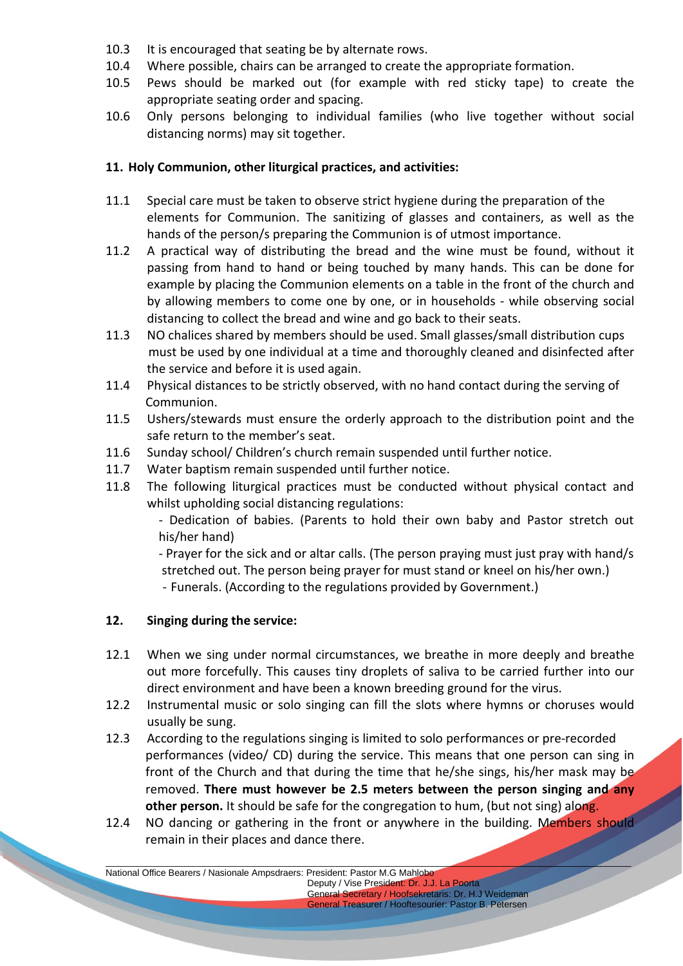- 10.3 It is encouraged that seating be by alternate rows.
- 10.4 Where possible, chairs can be arranged to create the appropriate formation.
- 10.5 Pews should be marked out (for example with red sticky tape) to create the appropriate seating order and spacing.
- 10.6 Only persons belonging to individual families (who live together without social distancing norms) may sit together.

### **11. Holy Communion, other liturgical practices, and activities:**

- 11.1 Special care must be taken to observe strict hygiene during the preparation of the elements for Communion. The sanitizing of glasses and containers, as well as the hands of the person/s preparing the Communion is of utmost importance.
- 11.2 A practical way of distributing the bread and the wine must be found, without it passing from hand to hand or being touched by many hands. This can be done for example by placing the Communion elements on a table in the front of the church and by allowing members to come one by one, or in households - while observing social distancing to collect the bread and wine and go back to their seats.
- 11.3 NO chalices shared by members should be used. Small glasses/small distribution cups must be used by one individual at a time and thoroughly cleaned and disinfected after the service and before it is used again.
- 11.4 Physical distances to be strictly observed, with no hand contact during the serving of Communion.
- 11.5 Ushers/stewards must ensure the orderly approach to the distribution point and the safe return to the member's seat.
- 11.6 Sunday school/ Children's church remain suspended until further notice.
- 11.7 Water baptism remain suspended until further notice.
- 11.8 The following liturgical practices must be conducted without physical contact and whilst upholding social distancing regulations:

- Dedication of babies. (Parents to hold their own baby and Pastor stretch out his/her hand)

 - Prayer for the sick and or altar calls. (The person praying must just pray with hand/s stretched out. The person being prayer for must stand or kneel on his/her own.) - Funerals. (According to the regulations provided by Government.)

### **12. Singing during the service:**

- 12.1 When we sing under normal circumstances, we breathe in more deeply and breathe out more forcefully. This causes tiny droplets of saliva to be carried further into our direct environment and have been a known breeding ground for the virus.
- 12.2 Instrumental music or solo singing can fill the slots where hymns or choruses would usually be sung.
- 12.3 According to the regulations singing is limited to solo performances or pre-recorded performances (video/ CD) during the service. This means that one person can sing in front of the Church and that during the time that he/she sings, his/her mask may be removed. **There must however be 2.5 meters between the person singing and any other person.** It should be safe for the congregation to hum, (but not sing) along.
- 12.4 NO dancing or gathering in the front or anywhere in the building. Members should remain in their places and dance there.

\_\_\_\_\_\_\_\_\_\_\_\_\_\_\_\_\_\_\_\_\_\_\_\_\_\_\_\_\_\_\_\_\_\_\_\_\_\_\_\_\_\_\_\_\_\_\_\_\_\_\_\_\_\_\_\_\_\_\_\_\_\_\_\_\_\_\_\_\_\_\_\_\_\_\_\_\_\_\_\_\_\_\_\_\_\_\_\_\_\_\_\_\_\_\_\_\_\_\_\_\_\_\_ National Office Bearers / Nasionale Ampsdraers: President: Pastor M.G Mahlobo

 Deputy / Vise President: Dr. J.J. La Poorta General Secretary / Hoofsekretaris: Dr. H.J Weideman General Treasurer / Hooftesourier: Pastor B. Petersen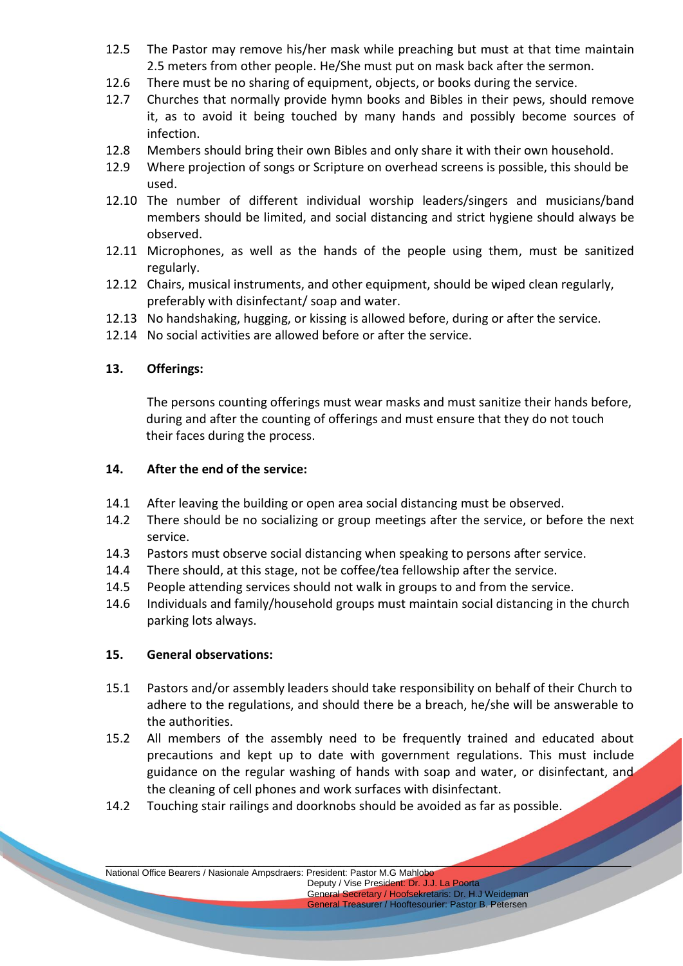- 12.5 The Pastor may remove his/her mask while preaching but must at that time maintain 2.5 meters from other people. He/She must put on mask back after the sermon.
- 12.6 There must be no sharing of equipment, objects, or books during the service.
- 12.7 Churches that normally provide hymn books and Bibles in their pews, should remove it, as to avoid it being touched by many hands and possibly become sources of infection.
- 12.8 Members should bring their own Bibles and only share it with their own household.
- 12.9 Where projection of songs or Scripture on overhead screens is possible, this should be used.
- 12.10 The number of different individual worship leaders/singers and musicians/band members should be limited, and social distancing and strict hygiene should always be observed.
- 12.11 Microphones, as well as the hands of the people using them, must be sanitized regularly.
- 12.12 Chairs, musical instruments, and other equipment, should be wiped clean regularly, preferably with disinfectant/ soap and water.
- 12.13 No handshaking, hugging, or kissing is allowed before, during or after the service.
- 12.14 No social activities are allowed before or after the service.

### **13. Offerings:**

The persons counting offerings must wear masks and must sanitize their hands before, during and after the counting of offerings and must ensure that they do not touch their faces during the process.

#### **14. After the end of the service:**

- 14.1 After leaving the building or open area social distancing must be observed.
- 14.2 There should be no socializing or group meetings after the service, or before the next service.
- 14.3 Pastors must observe social distancing when speaking to persons after service.
- 14.4 There should, at this stage, not be coffee/tea fellowship after the service.
- 14.5 People attending services should not walk in groups to and from the service.
- 14.6 Individuals and family/household groups must maintain social distancing in the church parking lots always.

#### **15. General observations:**

- 15.1 Pastors and/or assembly leaders should take responsibility on behalf of their Church to adhere to the regulations, and should there be a breach, he/she will be answerable to the authorities.
- 15.2 All members of the assembly need to be frequently trained and educated about precautions and kept up to date with government regulations. This must include guidance on the regular washing of hands with soap and water, or disinfectant, and the cleaning of cell phones and work surfaces with disinfectant.

\_\_\_\_\_\_\_\_\_\_\_\_\_\_\_\_\_\_\_\_\_\_\_\_\_\_\_\_\_\_\_\_\_\_\_\_\_\_\_\_\_\_\_\_\_\_\_\_\_\_\_\_\_\_\_\_\_\_\_\_\_\_\_\_\_\_\_\_\_\_\_\_\_\_\_\_\_\_\_\_\_\_\_\_\_\_\_\_\_\_\_\_\_\_\_\_\_\_\_\_\_\_\_

14.2 Touching stair railings and doorknobs should be avoided as far as possible.

National Office Bearers / Nasionale Ampsdraers: President: Pastor M.G Mahlobo